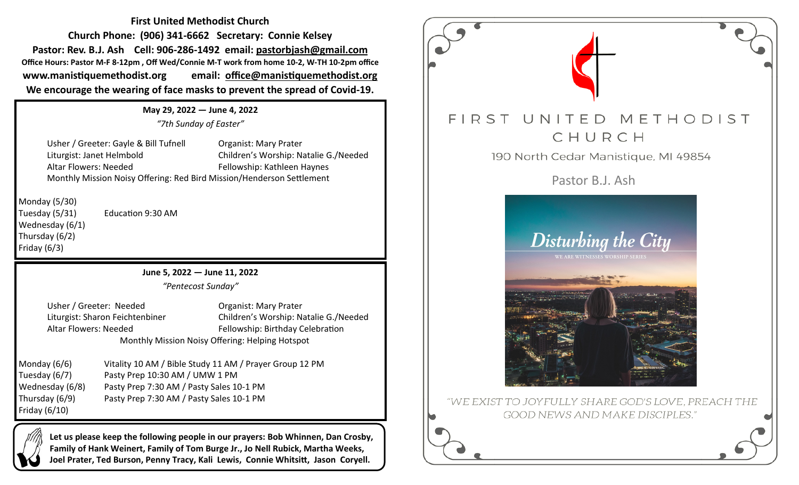**First United Methodist Church Church Phone: (906) 341-6662 Secretary: Connie Kelsey Pastor: Rev. B.J. Ash Cell: 906-286-1492 email: pastorbjash@gmail.com Office Hours: Pastor M-F 8-12pm , Off Wed/Connie M-T work from home 10-2, W-TH 10-2pm office www.manistiquemethodist.org email: office@manistiquemethodist.org We encourage the wearing of face masks to prevent the spread of Covid-19.**

> **May 29, 2022 — June 4, 2022** *"7th Sunday of Easter"*

Usher / Greeter: Gayle & Bill Tufnell Organist: Mary Prater Liturgist: Janet Helmbold Children's Worship: Natalie G./Needed Altar Flowers: Needed Fellowship: Kathleen Haynes Monthly Mission Noisy Offering: Red Bird Mission/Henderson Settlement

Monday (5/30) Tuesday (5/31) Education 9:30 AM Wednesday (6/1) Thursday (6/2) Friday (6/3)

**June 5, 2022 — June 11, 2022**

*"Pentecost Sunday"*

Usher / Greeter: Needed Organist: Mary Prater

Liturgist: Sharon Feichtenbiner Children's Worship: Natalie G./Needed Altar Flowers: Needed Fellowship: Birthday Celebration Monthly Mission Noisy Offering: Helping Hotspot

Friday (6/10)

Monday (6/6) Vitality 10 AM / Bible Study 11 AM / Prayer Group 12 PM Tuesday (6/7) Pasty Prep 10:30 AM / UMW 1 PM Wednesday (6/8) Pasty Prep 7:30 AM / Pasty Sales 10-1 PM Thursday (6/9) Pasty Prep 7:30 AM / Pasty Sales 10-1 PM

**Let us please keep the following people in our prayers: Bob Whinnen, Dan Crosby, Family of Hank Weinert, Family of Tom Burge Jr., Jo Nell Rubick, Martha Weeks, Joel Prater, Ted Burson, Penny Tracy, Kali Lewis, Connie Whitsitt, Jason Coryell.**